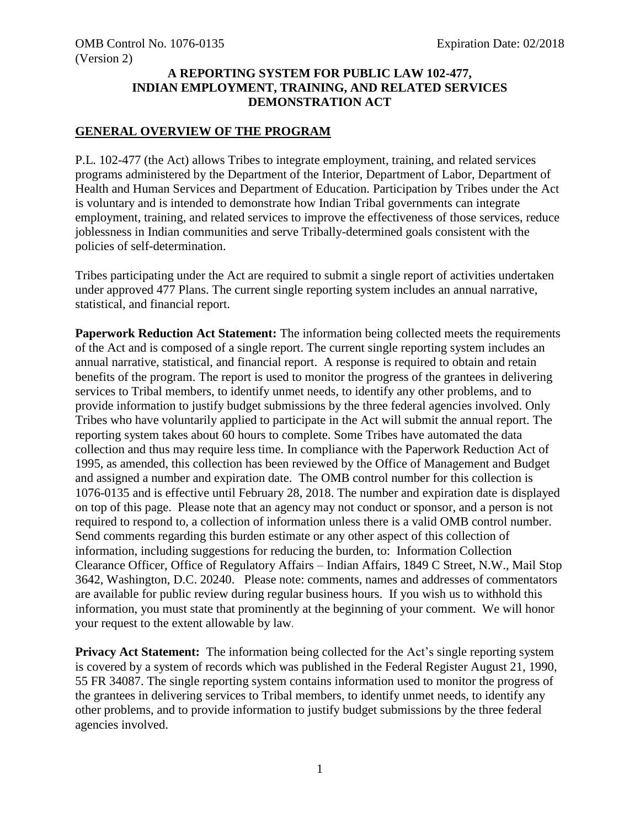### **A REPORTING SYSTEM FOR PUBLIC LAW 102-477, INDIAN EMPLOYMENT, TRAINING, AND RELATED SERVICES DEMONSTRATION ACT**

#### **GENERAL OVERVIEW OF THE PROGRAM**

P.L. 102-477 (the Act) allows Tribes to integrate employment, training, and related services programs administered by the Department of the Interior, Department of Labor, Department of Health and Human Services and Department of Education. Participation by Tribes under the Act is voluntary and is intended to demonstrate how Indian Tribal governments can integrate employment, training, and related services to improve the effectiveness of those services, reduce joblessness in Indian communities and serve Tribally-determined goals consistent with the policies of self-determination.

Tribes participating under the Act are required to submit a single report of activities undertaken under approved 477 Plans. The current single reporting system includes an annual narrative, statistical, and financial report.

**Paperwork Reduction Act Statement:** The information being collected meets the requirements of the Act and is composed of a single report. The current single reporting system includes an annual narrative, statistical, and financial report. A response is required to obtain and retain benefits of the program. The report is used to monitor the progress of the grantees in delivering services to Tribal members, to identify unmet needs, to identify any other problems, and to provide information to justify budget submissions by the three federal agencies involved. Only Tribes who have voluntarily applied to participate in the Act will submit the annual report. The reporting system takes about 60 hours to complete. Some Tribes have automated the data collection and thus may require less time. In compliance with the Paperwork Reduction Act of 1995, as amended, this collection has been reviewed by the Office of Management and Budget and assigned a number and expiration date. The OMB control number for this collection is 1076-0135 and is effective until February 28, 2018. The number and expiration date is displayed on top of this page. Please note that an agency may not conduct or sponsor, and a person is not required to respond to, a collection of information unless there is a valid OMB control number. Send comments regarding this burden estimate or any other aspect of this collection of information, including suggestions for reducing the burden, to: Information Collection Clearance Officer, Office of Regulatory Affairs – Indian Affairs, 1849 C Street, N.W., Mail Stop 3642, Washington, D.C. 20240. Please note: comments, names and addresses of commentators are available for public review during regular business hours. If you wish us to withhold this information, you must state that prominently at the beginning of your comment. We will honor your request to the extent allowable by law.

**Privacy Act Statement:** The information being collected for the Act's single reporting system is covered by a system of records which was published in the Federal Register August 21, 1990, 55 FR 34087. The single reporting system contains information used to monitor the progress of the grantees in delivering services to Tribal members, to identify unmet needs, to identify any other problems, and to provide information to justify budget submissions by the three federal agencies involved.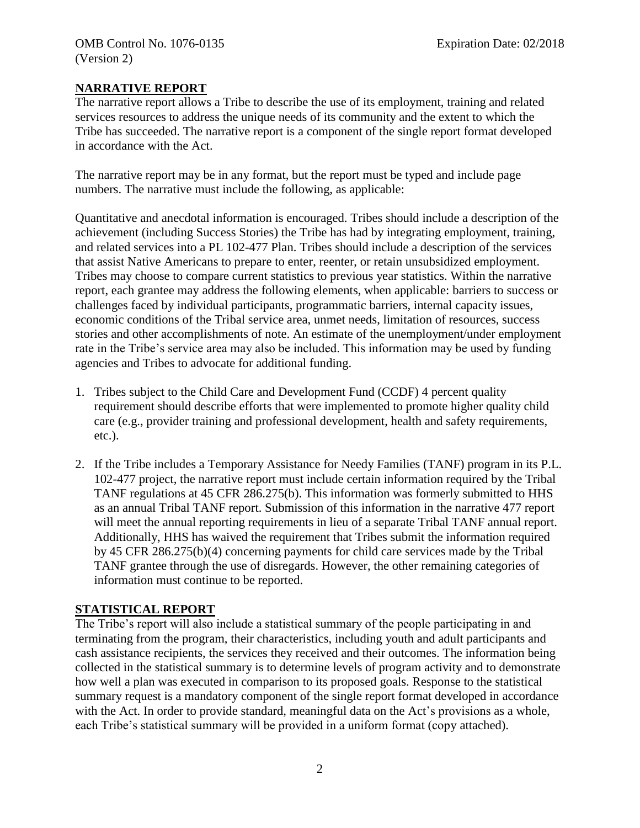### **NARRATIVE REPORT**

The narrative report allows a Tribe to describe the use of its employment, training and related services resources to address the unique needs of its community and the extent to which the Tribe has succeeded. The narrative report is a component of the single report format developed in accordance with the Act.

The narrative report may be in any format, but the report must be typed and include page numbers. The narrative must include the following, as applicable:

Quantitative and anecdotal information is encouraged. Tribes should include a description of the achievement (including Success Stories) the Tribe has had by integrating employment, training, and related services into a PL 102-477 Plan. Tribes should include a description of the services that assist Native Americans to prepare to enter, reenter, or retain unsubsidized employment. Tribes may choose to compare current statistics to previous year statistics. Within the narrative report, each grantee may address the following elements, when applicable: barriers to success or challenges faced by individual participants, programmatic barriers, internal capacity issues, economic conditions of the Tribal service area, unmet needs, limitation of resources, success stories and other accomplishments of note. An estimate of the unemployment/under employment rate in the Tribe's service area may also be included. This information may be used by funding agencies and Tribes to advocate for additional funding.

- 1. Tribes subject to the Child Care and Development Fund (CCDF) 4 percent quality requirement should describe efforts that were implemented to promote higher quality child care (e.g., provider training and professional development, health and safety requirements, etc.).
- 2. If the Tribe includes a Temporary Assistance for Needy Families (TANF) program in its P.L. 102-477 project, the narrative report must include certain information required by the Tribal TANF regulations at 45 CFR 286.275(b). This information was formerly submitted to HHS as an annual Tribal TANF report. Submission of this information in the narrative 477 report will meet the annual reporting requirements in lieu of a separate Tribal TANF annual report. Additionally, HHS has waived the requirement that Tribes submit the information required by 45 CFR 286.275(b)(4) concerning payments for child care services made by the Tribal TANF grantee through the use of disregards. However, the other remaining categories of information must continue to be reported.

# **STATISTICAL REPORT**

The Tribe's report will also include a statistical summary of the people participating in and terminating from the program, their characteristics, including youth and adult participants and cash assistance recipients, the services they received and their outcomes. The information being collected in the statistical summary is to determine levels of program activity and to demonstrate how well a plan was executed in comparison to its proposed goals. Response to the statistical summary request is a mandatory component of the single report format developed in accordance with the Act. In order to provide standard, meaningful data on the Act's provisions as a whole, each Tribe's statistical summary will be provided in a uniform format (copy attached).